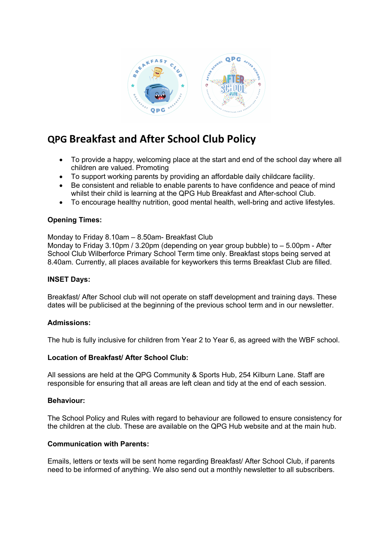

# **QPG Breakfast and After School Club Policy**

- To provide a happy, welcoming place at the start and end of the school day where all children are valued. Promoting
- To support working parents by providing an affordable daily childcare facility.
- Be consistent and reliable to enable parents to have confidence and peace of mind whilst their child is learning at the QPG Hub Breakfast and After-school Club.
- To encourage healthy nutrition, good mental health, well-bring and active lifestyles.

# **Opening Times:**

Monday to Friday 8.10am – 8.50am- Breakfast Club Monday to Friday 3.10pm / 3.20pm (depending on year group bubble) to  $-5.00$ pm - After School Club Wilberforce Primary School Term time only. Breakfast stops being served at 8.40am. Currently, all places available for keyworkers this terms Breakfast Club are filled.

# **INSET Days:**

Breakfast/ After School club will not operate on staff development and training days. These dates will be publicised at the beginning of the previous school term and in our newsletter.

# **Admissions:**

The hub is fully inclusive for children from Year 2 to Year 6, as agreed with the WBF school.

# **Location of Breakfast/ After School Club:**

All sessions are held at the QPG Community & Sports Hub, 254 Kilburn Lane. Staff are responsible for ensuring that all areas are left clean and tidy at the end of each session.

## **Behaviour:**

The School Policy and Rules with regard to behaviour are followed to ensure consistency for the children at the club. These are available on the QPG Hub website and at the main hub.

# **Communication with Parents:**

Emails, letters or texts will be sent home regarding Breakfast/ After School Club, if parents need to be informed of anything. We also send out a monthly newsletter to all subscribers.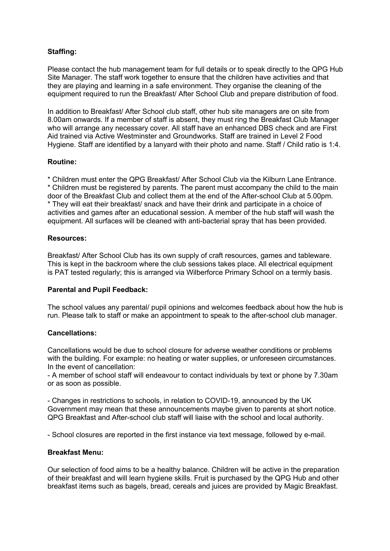# **Staffing:**

Please contact the hub management team for full details or to speak directly to the QPG Hub Site Manager. The staff work together to ensure that the children have activities and that they are playing and learning in a safe environment. They organise the cleaning of the equipment required to run the Breakfast/ After School Club and prepare distribution of food.

In addition to Breakfast/ After School club staff, other hub site managers are on site from 8.00am onwards. If a member of staff is absent, they must ring the Breakfast Club Manager who will arrange any necessary cover. All staff have an enhanced DBS check and are First Aid trained via Active Westminster and Groundworks. Staff are trained in Level 2 Food Hygiene. Staff are identified by a lanyard with their photo and name. Staff / Child ratio is 1:4.

# **Routine:**

\* Children must enter the QPG Breakfast/ After School Club via the Kilburn Lane Entrance. \* Children must be registered by parents. The parent must accompany the child to the main door of the Breakfast Club and collect them at the end of the After-school Club at 5.00pm. \* They will eat their breakfast/ snack and have their drink and participate in a choice of activities and games after an educational session. A member of the hub staff will wash the equipment. All surfaces will be cleaned with anti-bacterial spray that has been provided.

## **Resources:**

Breakfast/ After School Club has its own supply of craft resources, games and tableware. This is kept in the backroom where the club sessions takes place. All electrical equipment is PAT tested regularly; this is arranged via Wilberforce Primary School on a termly basis.

# **Parental and Pupil Feedback:**

The school values any parental/ pupil opinions and welcomes feedback about how the hub is run. Please talk to staff or make an appointment to speak to the after-school club manager.

# **Cancellations:**

Cancellations would be due to school closure for adverse weather conditions or problems with the building. For example: no heating or water supplies, or unforeseen circumstances. In the event of cancellation:

- A member of school staff will endeavour to contact individuals by text or phone by 7.30am or as soon as possible.

- Changes in restrictions to schools, in relation to COVID-19, announced by the UK Government may mean that these announcements maybe given to parents at short notice. QPG Breakfast and After-school club staff will liaise with the school and local authority.

- School closures are reported in the first instance via text message, followed by e-mail.

# **Breakfast Menu:**

Our selection of food aims to be a healthy balance. Children will be active in the preparation of their breakfast and will learn hygiene skills. Fruit is purchased by the QPG Hub and other breakfast items such as bagels, bread, cereals and juices are provided by Magic Breakfast.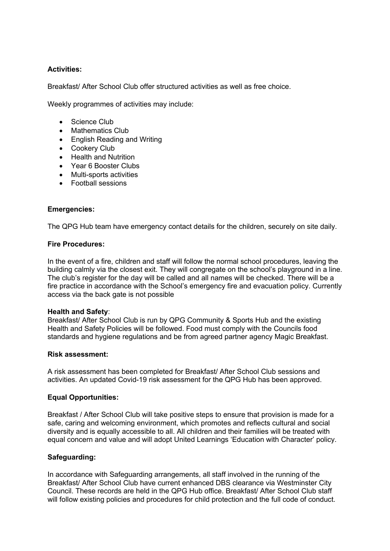# **Activities:**

Breakfast/ After School Club offer structured activities as well as free choice.

Weekly programmes of activities may include:

- Science Club
- Mathematics Club
- English Reading and Writing
- Cookery Club
- Health and Nutrition
- Year 6 Booster Clubs
- Multi-sports activities
- Football sessions

## **Emergencies:**

The QPG Hub team have emergency contact details for the children, securely on site daily.

## **Fire Procedures:**

In the event of a fire, children and staff will follow the normal school procedures, leaving the building calmly via the closest exit. They will congregate on the school's playground in a line. The club's register for the day will be called and all names will be checked. There will be a fire practice in accordance with the School's emergency fire and evacuation policy. Currently access via the back gate is not possible

## **Health and Safety**:

Breakfast/ After School Club is run by QPG Community & Sports Hub and the existing Health and Safety Policies will be followed. Food must comply with the Councils food standards and hygiene regulations and be from agreed partner agency Magic Breakfast.

## **Risk assessment:**

A risk assessment has been completed for Breakfast/ After School Club sessions and activities. An updated Covid-19 risk assessment for the QPG Hub has been approved.

## **Equal Opportunities:**

Breakfast / After School Club will take positive steps to ensure that provision is made for a safe, caring and welcoming environment, which promotes and reflects cultural and social diversity and is equally accessible to all. All children and their families will be treated with equal concern and value and will adopt United Learnings 'Education with Character' policy.

## **Safeguarding:**

In accordance with Safeguarding arrangements, all staff involved in the running of the Breakfast/ After School Club have current enhanced DBS clearance via Westminster City Council. These records are held in the QPG Hub office. Breakfast/ After School Club staff will follow existing policies and procedures for child protection and the full code of conduct.